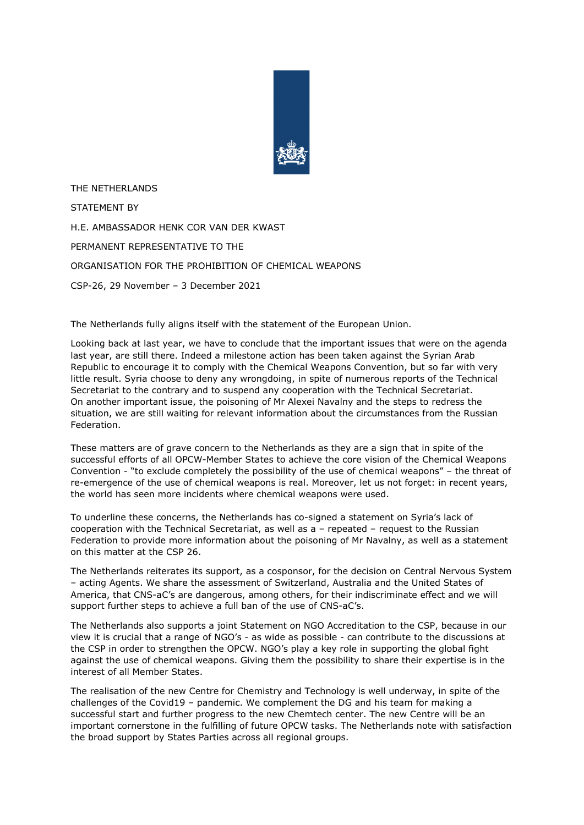

THE NETHERLANDS STATEMENT BY H.E. AMBASSADOR HENK COR VAN DER KWAST PERMANENT REPRESENTATIVE TO THE ORGANISATION FOR THE PROHIBITION OF CHEMICAL WEAPONS CSP-26, 29 November – 3 December 2021

The Netherlands fully aligns itself with the statement of the European Union.

Looking back at last year, we have to conclude that the important issues that were on the agenda last year, are still there. Indeed a milestone action has been taken against the Syrian Arab Republic to encourage it to comply with the Chemical Weapons Convention, but so far with very little result. Syria choose to deny any wrongdoing, in spite of numerous reports of the Technical Secretariat to the contrary and to suspend any cooperation with the Technical Secretariat. On another important issue, the poisoning of Mr Alexei Navalny and the steps to redress the situation, we are still waiting for relevant information about the circumstances from the Russian Federation.

These matters are of grave concern to the Netherlands as they are a sign that in spite of the successful efforts of all OPCW-Member States to achieve the core vision of the Chemical Weapons Convention - "to exclude completely the possibility of the use of chemical weapons" – the threat of re-emergence of the use of chemical weapons is real. Moreover, let us not forget: in recent years, the world has seen more incidents where chemical weapons were used.

To underline these concerns, the Netherlands has co-signed a statement on Syria's lack of cooperation with the Technical Secretariat, as well as a – repeated – request to the Russian Federation to provide more information about the poisoning of Mr Navalny, as well as a statement on this matter at the CSP 26.

The Netherlands reiterates its support, as a cosponsor, for the decision on Central Nervous System – acting Agents. We share the assessment of Switzerland, Australia and the United States of America, that CNS-aC's are dangerous, among others, for their indiscriminate effect and we will support further steps to achieve a full ban of the use of CNS-aC's.

The Netherlands also supports a joint Statement on NGO Accreditation to the CSP, because in our view it is crucial that a range of NGO's - as wide as possible - can contribute to the discussions at the CSP in order to strengthen the OPCW. NGO's play a key role in supporting the global fight against the use of chemical weapons. Giving them the possibility to share their expertise is in the interest of all Member States.

The realisation of the new Centre for Chemistry and Technology is well underway, in spite of the challenges of the Covid19 – pandemic. We complement the DG and his team for making a successful start and further progress to the new Chemtech center. The new Centre will be an important cornerstone in the fulfilling of future OPCW tasks. The Netherlands note with satisfaction the broad support by States Parties across all regional groups.